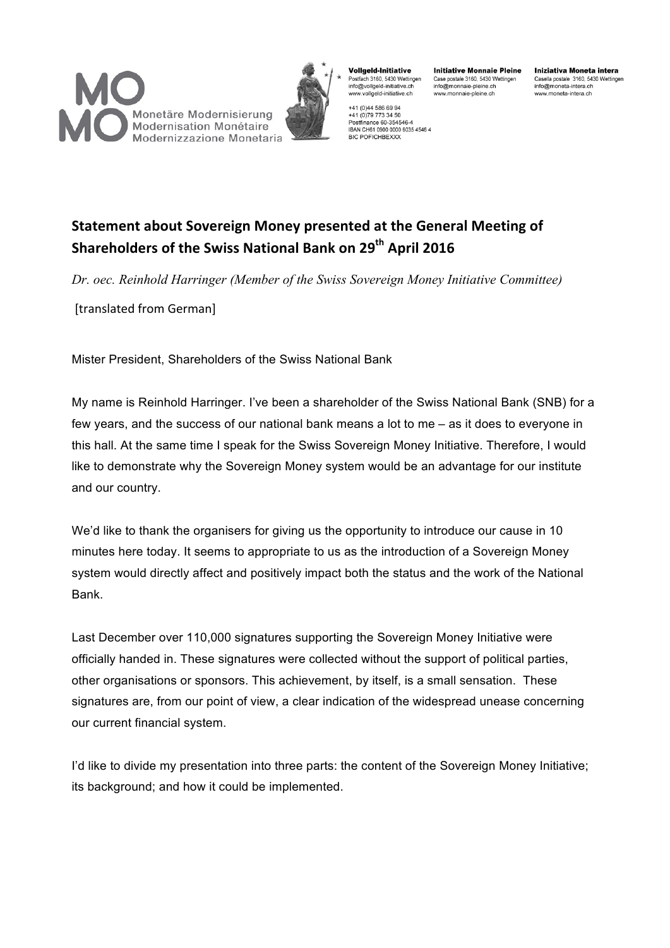



**Vollgeld-Initiative** Postfach 3160, 5430 Wettingen info@vollgeld-initiative.ch www.vollgeld-initiative.ch

**Initiative Monnaie Pleine** Case postale 3160, 5430 Wettingen info@monnaie-pleine.ch www.monnaie-pleine.ch

+41 (0)44 586 69 94 +41 (0) 79 773 34 50 Postfinance 60-354546-4<br>IBAN CH61 0900 0000 6035 4546 4 **BIC POFICHBEXXX** 

Iniziativa Moneta intera Casella postale 3160, 5430 Wettingen info@moneta-intera.ch www.moneta-intera.ch

# **Statement about Sovereign Money presented at the General Meeting of Shareholders of the Swiss National Bank on 29<sup>th</sup> April 2016**

*Dr. oec. Reinhold Harringer (Member of the Swiss Sovereign Money Initiative Committee)*

[translated from German]

Mister President, Shareholders of the Swiss National Bank

My name is Reinhold Harringer. I've been a shareholder of the Swiss National Bank (SNB) for a few years, and the success of our national bank means a lot to me – as it does to everyone in this hall. At the same time I speak for the Swiss Sovereign Money Initiative. Therefore, I would like to demonstrate why the Sovereign Money system would be an advantage for our institute and our country.

We'd like to thank the organisers for giving us the opportunity to introduce our cause in 10 minutes here today. It seems to appropriate to us as the introduction of a Sovereign Money system would directly affect and positively impact both the status and the work of the National Bank.

Last December over 110,000 signatures supporting the Sovereign Money Initiative were officially handed in. These signatures were collected without the support of political parties, other organisations or sponsors. This achievement, by itself, is a small sensation. These signatures are, from our point of view, a clear indication of the widespread unease concerning our current financial system.

I'd like to divide my presentation into three parts: the content of the Sovereign Money Initiative; its background; and how it could be implemented.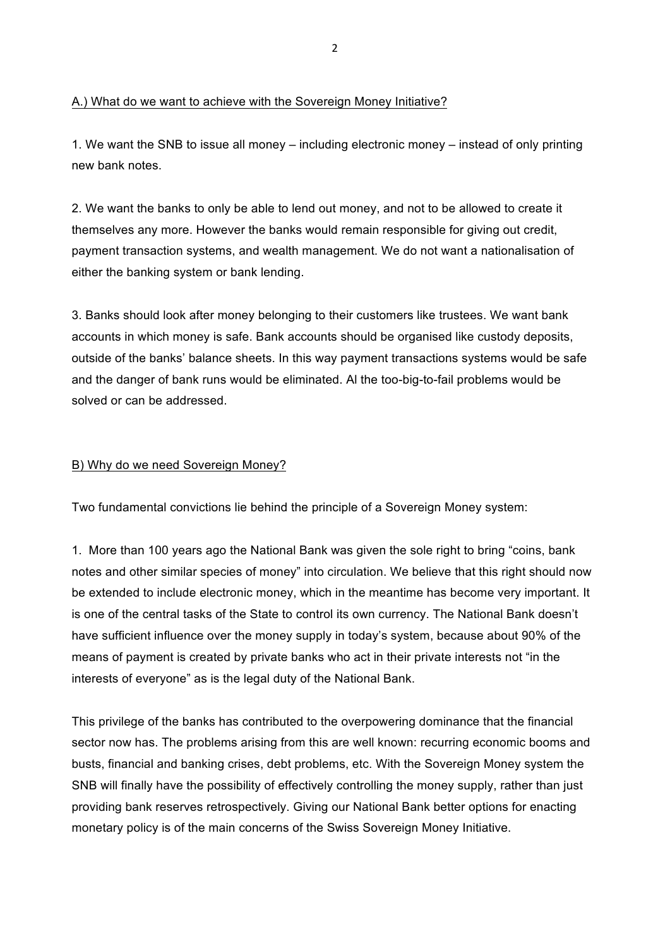### A.) What do we want to achieve with the Sovereign Money Initiative?

1. We want the SNB to issue all money – including electronic money – instead of only printing new bank notes.

2. We want the banks to only be able to lend out money, and not to be allowed to create it themselves any more. However the banks would remain responsible for giving out credit, payment transaction systems, and wealth management. We do not want a nationalisation of either the banking system or bank lending.

3. Banks should look after money belonging to their customers like trustees. We want bank accounts in which money is safe. Bank accounts should be organised like custody deposits, outside of the banks' balance sheets. In this way payment transactions systems would be safe and the danger of bank runs would be eliminated. Al the too-big-to-fail problems would be solved or can be addressed.

### B) Why do we need Sovereign Money?

Two fundamental convictions lie behind the principle of a Sovereign Money system:

1. More than 100 years ago the National Bank was given the sole right to bring "coins, bank notes and other similar species of money" into circulation. We believe that this right should now be extended to include electronic money, which in the meantime has become very important. It is one of the central tasks of the State to control its own currency. The National Bank doesn't have sufficient influence over the money supply in today's system, because about 90% of the means of payment is created by private banks who act in their private interests not "in the interests of everyone" as is the legal duty of the National Bank.

This privilege of the banks has contributed to the overpowering dominance that the financial sector now has. The problems arising from this are well known: recurring economic booms and busts, financial and banking crises, debt problems, etc. With the Sovereign Money system the SNB will finally have the possibility of effectively controlling the money supply, rather than just providing bank reserves retrospectively. Giving our National Bank better options for enacting monetary policy is of the main concerns of the Swiss Sovereign Money Initiative.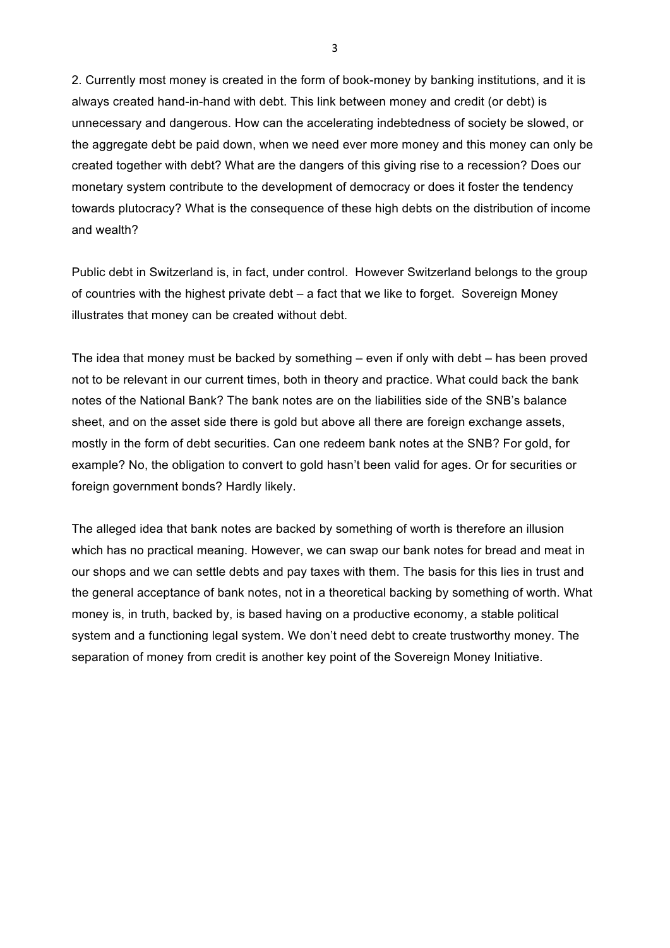2. Currently most money is created in the form of book-money by banking institutions, and it is always created hand-in-hand with debt. This link between money and credit (or debt) is unnecessary and dangerous. How can the accelerating indebtedness of society be slowed, or the aggregate debt be paid down, when we need ever more money and this money can only be created together with debt? What are the dangers of this giving rise to a recession? Does our monetary system contribute to the development of democracy or does it foster the tendency towards plutocracy? What is the consequence of these high debts on the distribution of income and wealth?

Public debt in Switzerland is, in fact, under control. However Switzerland belongs to the group of countries with the highest private debt – a fact that we like to forget. Sovereign Money illustrates that money can be created without debt.

The idea that money must be backed by something – even if only with debt – has been proved not to be relevant in our current times, both in theory and practice. What could back the bank notes of the National Bank? The bank notes are on the liabilities side of the SNB's balance sheet, and on the asset side there is gold but above all there are foreign exchange assets, mostly in the form of debt securities. Can one redeem bank notes at the SNB? For gold, for example? No, the obligation to convert to gold hasn't been valid for ages. Or for securities or foreign government bonds? Hardly likely.

The alleged idea that bank notes are backed by something of worth is therefore an illusion which has no practical meaning. However, we can swap our bank notes for bread and meat in our shops and we can settle debts and pay taxes with them. The basis for this lies in trust and the general acceptance of bank notes, not in a theoretical backing by something of worth. What money is, in truth, backed by, is based having on a productive economy, a stable political system and a functioning legal system. We don't need debt to create trustworthy money. The separation of money from credit is another key point of the Sovereign Money Initiative.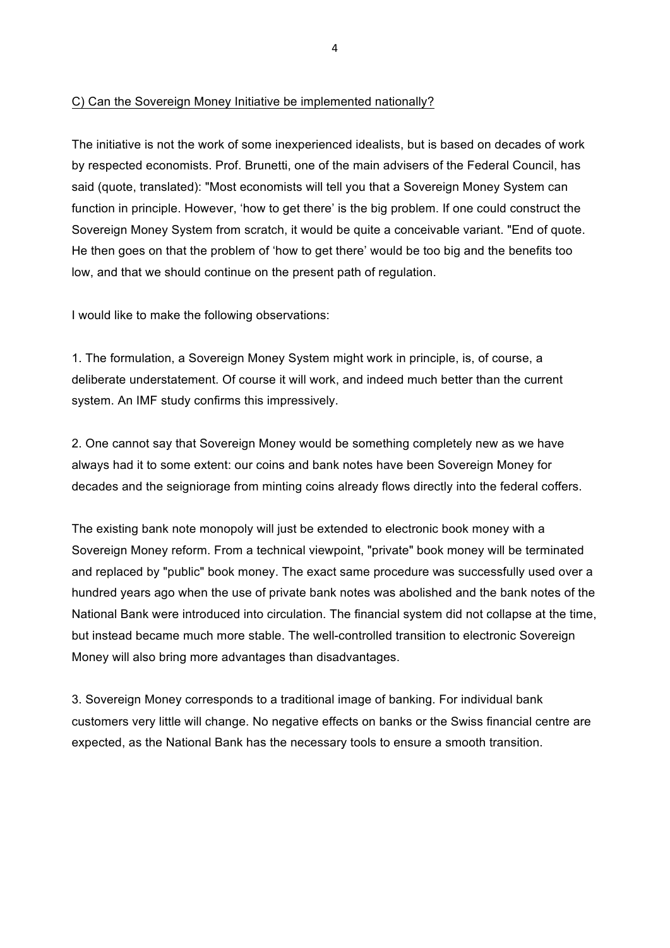## C) Can the Sovereign Money Initiative be implemented nationally?

The initiative is not the work of some inexperienced idealists, but is based on decades of work by respected economists. Prof. Brunetti, one of the main advisers of the Federal Council, has said (quote, translated): "Most economists will tell you that a Sovereign Money System can function in principle. However, 'how to get there' is the big problem. If one could construct the Sovereign Money System from scratch, it would be quite a conceivable variant. "End of quote. He then goes on that the problem of 'how to get there' would be too big and the benefits too low, and that we should continue on the present path of regulation.

I would like to make the following observations:

1. The formulation, a Sovereign Money System might work in principle, is, of course, a deliberate understatement. Of course it will work, and indeed much better than the current system. An IMF study confirms this impressively.

2. One cannot say that Sovereign Money would be something completely new as we have always had it to some extent: our coins and bank notes have been Sovereign Money for decades and the seigniorage from minting coins already flows directly into the federal coffers.

The existing bank note monopoly will just be extended to electronic book money with a Sovereign Money reform. From a technical viewpoint, "private" book money will be terminated and replaced by "public" book money. The exact same procedure was successfully used over a hundred years ago when the use of private bank notes was abolished and the bank notes of the National Bank were introduced into circulation. The financial system did not collapse at the time, but instead became much more stable. The well-controlled transition to electronic Sovereign Money will also bring more advantages than disadvantages.

3. Sovereign Money corresponds to a traditional image of banking. For individual bank customers very little will change. No negative effects on banks or the Swiss financial centre are expected, as the National Bank has the necessary tools to ensure a smooth transition.